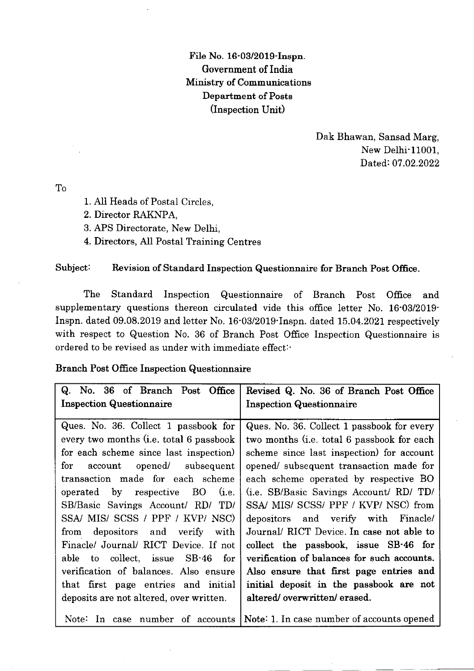File No. 16-03/2019-Inspn. Government of India Ministry of Communications Department of Posts (Inspection Unit)

> Dak Bhawan, Sansad Marg, New Delhi<sup>-11001</sup>. Dated: 07.02.2022

To

- 1. AII Heads of Postal Circles,
- 2. Director RAKNPA,
- 3. APS Directorate, New Delhi,
- 4. Directors, AII Postal Training Centres

## Subject: Revision of Standard Inspection Questionnaire for Branch Post Office.

The Standard Inspection Questionnaire of Branch Post Office and supplementary questions thereon circulated vide this office Ietter No. 16'03/2019- Inspn. dated  $09.08.2019$  and letter No.  $16.03/2019$  Inspn. dated  $15.04.2021$  respectively with respect to Question No. 36 of Branch Post Office Inspection Questionnaire is ordered to be revised as under with immediate effect:'

## Branch Post Office Inspection Questionnaire

| Q. No. 36 of Branch Post Office<br><b>Inspection Questionnaire</b>                                                                                                                                                                                                                                                                                                                                                                                                                                                                                           | Revised Q. No. 36 of Branch Post Office<br><b>Inspection Questionnaire</b>                                                                                                                                                                                                                                                                                                                                                                                                                                                                                                                                    |
|--------------------------------------------------------------------------------------------------------------------------------------------------------------------------------------------------------------------------------------------------------------------------------------------------------------------------------------------------------------------------------------------------------------------------------------------------------------------------------------------------------------------------------------------------------------|---------------------------------------------------------------------------------------------------------------------------------------------------------------------------------------------------------------------------------------------------------------------------------------------------------------------------------------------------------------------------------------------------------------------------------------------------------------------------------------------------------------------------------------------------------------------------------------------------------------|
| Ques. No. 36. Collect 1 passbook for<br>every two months (i.e. total 6 passbook<br>for each scheme since last inspection)<br>account opened/ subsequent<br>for<br>transaction made for each scheme<br>operated by respective BO (i.e.<br>SB/Basic Savings Account/ RD/ TD/<br>SSA/ MIS/ SCSS / PPF / KVP/ NSC)<br>depositors and verify with<br>from<br>Finacle/ Journal/ RICT Device. If not<br>able to collect, issue SB-46 for<br>verification of balances. Also ensure<br>that first page entries and initial<br>deposits are not altered, over written. | Ques. No. 36. Collect 1 passbook for every<br>two months (i.e. total 6 passbook for each<br>scheme since last inspection) for account<br>opened/ subsequent transaction made for<br>each scheme operated by respective BO<br>(i.e. SB/Basic Savings Account/ RD/ TD/<br>SSA/ MIS/ SCSS/ PPF / KVP/ NSC) from<br>depositors and verify with Finacle/<br>Journal/ RICT Device. In case not able to<br>collect the passbook, issue SB-46 for<br>verification of balances for such accounts.<br>Also ensure that first page entries and<br>initial deposit in the passbook are not<br>altered/overwritten/erased. |
|                                                                                                                                                                                                                                                                                                                                                                                                                                                                                                                                                              | Note: In case number of accounts Note: 1. In case number of accounts opened                                                                                                                                                                                                                                                                                                                                                                                                                                                                                                                                   |